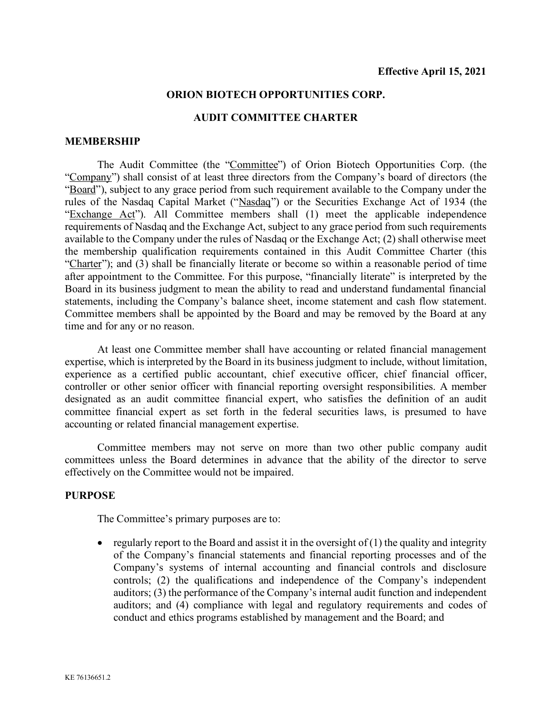### **ORION BIOTECH OPPORTUNITIES CORP.**

#### **AUDIT COMMITTEE CHARTER**

#### **MEMBERSHIP**

The Audit Committee (the "Committee") of Orion Biotech Opportunities Corp. (the "Company") shall consist of at least three directors from the Company's board of directors (the "Board"), subject to any grace period from such requirement available to the Company under the rules of the Nasdaq Capital Market ("Nasdaq") or the Securities Exchange Act of 1934 (the "Exchange Act"). All Committee members shall (1) meet the applicable independence requirements of Nasdaq and the Exchange Act, subject to any grace period from such requirements available to the Company under the rules of Nasdaq or the Exchange Act; (2) shall otherwise meet the membership qualification requirements contained in this Audit Committee Charter (this "Charter"); and (3) shall be financially literate or become so within a reasonable period of time after appointment to the Committee. For this purpose, "financially literate" is interpreted by the Board in its business judgment to mean the ability to read and understand fundamental financial statements, including the Company's balance sheet, income statement and cash flow statement. Committee members shall be appointed by the Board and may be removed by the Board at any time and for any or no reason.

At least one Committee member shall have accounting or related financial management expertise, which is interpreted by the Board in its business judgment to include, without limitation, experience as a certified public accountant, chief executive officer, chief financial officer, controller or other senior officer with financial reporting oversight responsibilities. A member designated as an audit committee financial expert, who satisfies the definition of an audit committee financial expert as set forth in the federal securities laws, is presumed to have accounting or related financial management expertise.

Committee members may not serve on more than two other public company audit committees unless the Board determines in advance that the ability of the director to serve effectively on the Committee would not be impaired.

#### **PURPOSE**

The Committee's primary purposes are to:

• regularly report to the Board and assist it in the oversight of  $(1)$  the quality and integrity of the Company's financial statements and financial reporting processes and of the Company's systems of internal accounting and financial controls and disclosure controls; (2) the qualifications and independence of the Company's independent auditors; (3) the performance of the Company's internal audit function and independent auditors; and (4) compliance with legal and regulatory requirements and codes of conduct and ethics programs established by management and the Board; and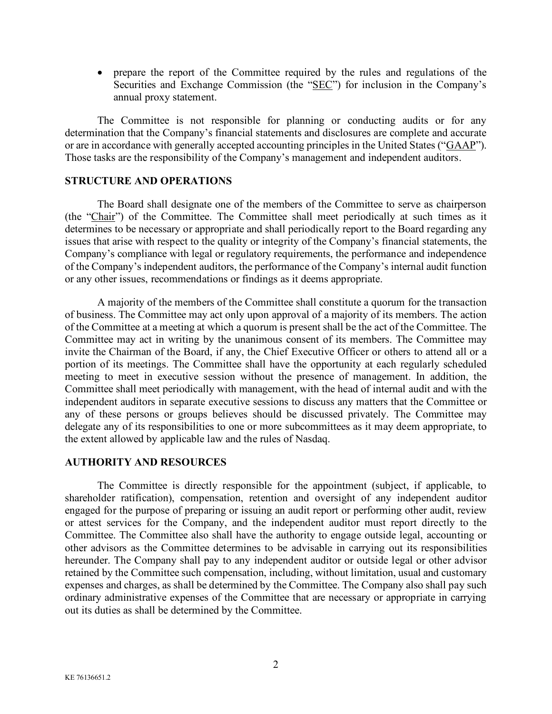• prepare the report of the Committee required by the rules and regulations of the Securities and Exchange Commission (the "SEC") for inclusion in the Company's annual proxy statement.

The Committee is not responsible for planning or conducting audits or for any determination that the Company's financial statements and disclosures are complete and accurate or are in accordance with generally accepted accounting principles in the United States ("GAAP"). Those tasks are the responsibility of the Company's management and independent auditors.

### **STRUCTURE AND OPERATIONS**

The Board shall designate one of the members of the Committee to serve as chairperson (the "Chair") of the Committee. The Committee shall meet periodically at such times as it determines to be necessary or appropriate and shall periodically report to the Board regarding any issues that arise with respect to the quality or integrity of the Company's financial statements, the Company's compliance with legal or regulatory requirements, the performance and independence of the Company's independent auditors, the performance of the Company's internal audit function or any other issues, recommendations or findings as it deems appropriate.

A majority of the members of the Committee shall constitute a quorum for the transaction of business. The Committee may act only upon approval of a majority of its members. The action of the Committee at a meeting at which a quorum is present shall be the act of the Committee. The Committee may act in writing by the unanimous consent of its members. The Committee may invite the Chairman of the Board, if any, the Chief Executive Officer or others to attend all or a portion of its meetings. The Committee shall have the opportunity at each regularly scheduled meeting to meet in executive session without the presence of management. In addition, the Committee shall meet periodically with management, with the head of internal audit and with the independent auditors in separate executive sessions to discuss any matters that the Committee or any of these persons or groups believes should be discussed privately. The Committee may delegate any of its responsibilities to one or more subcommittees as it may deem appropriate, to the extent allowed by applicable law and the rules of Nasdaq.

## **AUTHORITY AND RESOURCES**

The Committee is directly responsible for the appointment (subject, if applicable, to shareholder ratification), compensation, retention and oversight of any independent auditor engaged for the purpose of preparing or issuing an audit report or performing other audit, review or attest services for the Company, and the independent auditor must report directly to the Committee. The Committee also shall have the authority to engage outside legal, accounting or other advisors as the Committee determines to be advisable in carrying out its responsibilities hereunder. The Company shall pay to any independent auditor or outside legal or other advisor retained by the Committee such compensation, including, without limitation, usual and customary expenses and charges, as shall be determined by the Committee. The Company also shall pay such ordinary administrative expenses of the Committee that are necessary or appropriate in carrying out its duties as shall be determined by the Committee.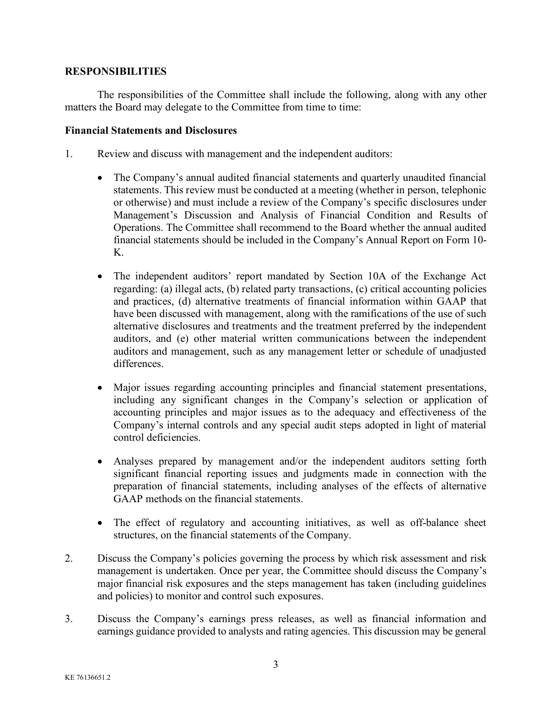# **RESPONSIBILITIES**

The responsibilities of the Committee shall include the following, along with any other matters the Board may delegate to the Committee from time to time:

## **Financial Statements and Disclosures**

- 1. Review and discuss with management and the independent auditors:
	- The Company's annual audited financial statements and quarterly unaudited financial statements. This review must be conducted at a meeting (whether in person, telephonic or otherwise) and must include a review of the Company's specific disclosures under Management's Discussion and Analysis of Financial Condition and Results of Operations. The Committee shall recommend to the Board whether the annual audited financial statements should be included in the Company's Annual Report on Form 10- K.
	- The independent auditors' report mandated by Section 10A of the Exchange Act regarding: (a) illegal acts, (b) related party transactions, (c) critical accounting policies and practices, (d) alternative treatments of financial information within GAAP that have been discussed with management, along with the ramifications of the use of such alternative disclosures and treatments and the treatment preferred by the independent auditors, and (e) other material written communications between the independent auditors and management, such as any management letter or schedule of unadjusted differences.
	- Major issues regarding accounting principles and financial statement presentations, including any significant changes in the Company's selection or application of accounting principles and major issues as to the adequacy and effectiveness of the Company's internal controls and any special audit steps adopted in light of material control deficiencies.
	- Analyses prepared by management and/or the independent auditors setting forth significant financial reporting issues and judgments made in connection with the preparation of financial statements, including analyses of the effects of alternative GAAP methods on the financial statements.
	- The effect of regulatory and accounting initiatives, as well as off-balance sheet structures, on the financial statements of the Company.
- 2. Discuss the Company's policies governing the process by which risk assessment and risk management is undertaken. Once per year, the Committee should discuss the Company's major financial risk exposures and the steps management has taken (including guidelines and policies) to monitor and control such exposures.
- 3. Discuss the Company's earnings press releases, as well as financial information and earnings guidance provided to analysts and rating agencies. This discussion may be general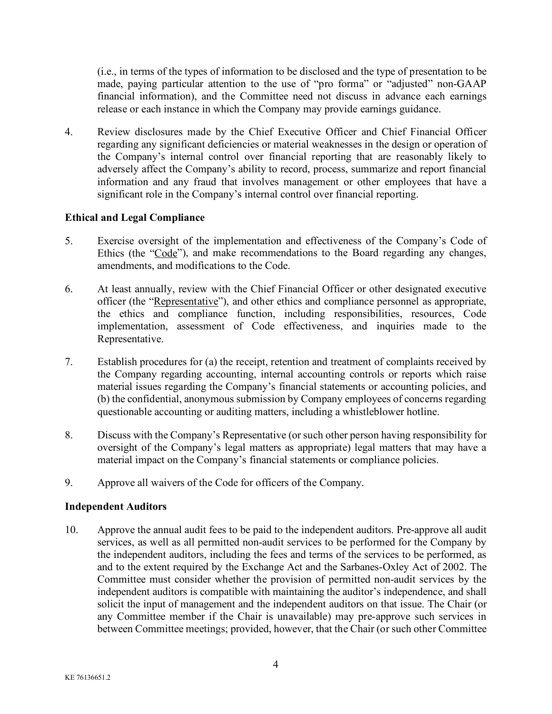(i.e., in terms of the types of information to be disclosed and the type of presentation to be made, paying particular attention to the use of "pro forma" or "adjusted" non-GAAP financial information), and the Committee need not discuss in advance each earnings release or each instance in which the Company may provide earnings guidance.

4. Review disclosures made by the Chief Executive Officer and Chief Financial Officer regarding any significant deficiencies or material weaknesses in the design or operation of the Company's internal control over financial reporting that are reasonably likely to adversely affect the Company's ability to record, process, summarize and report financial information and any fraud that involves management or other employees that have a significant role in the Company's internal control over financial reporting.

# **Ethical and Legal Compliance**

- 5. Exercise oversight of the implementation and effectiveness of the Company's Code of Ethics (the "Code"), and make recommendations to the Board regarding any changes, amendments, and modifications to the Code.
- 6. At least annually, review with the Chief Financial Officer or other designated executive officer (the "Representative"), and other ethics and compliance personnel as appropriate, the ethics and compliance function, including responsibilities, resources, Code implementation, assessment of Code effectiveness, and inquiries made to the Representative.
- 7. Establish procedures for (a) the receipt, retention and treatment of complaints received by the Company regarding accounting, internal accounting controls or reports which raise material issues regarding the Company's financial statements or accounting policies, and (b) the confidential, anonymous submission by Company employees of concerns regarding questionable accounting or auditing matters, including a whistleblower hotline.
- 8. Discuss with the Company's Representative (or such other person having responsibility for oversight of the Company's legal matters as appropriate) legal matters that may have a material impact on the Company's financial statements or compliance policies.
- 9. Approve all waivers of the Code for officers of the Company.

## **Independent Auditors**

10. Approve the annual audit fees to be paid to the independent auditors. Pre-approve all audit services, as well as all permitted non-audit services to be performed for the Company by the independent auditors, including the fees and terms of the services to be performed, as and to the extent required by the Exchange Act and the Sarbanes-Oxley Act of 2002. The Committee must consider whether the provision of permitted non-audit services by the independent auditors is compatible with maintaining the auditor's independence, and shall solicit the input of management and the independent auditors on that issue. The Chair (or any Committee member if the Chair is unavailable) may pre-approve such services in between Committee meetings; provided, however, that the Chair (or such other Committee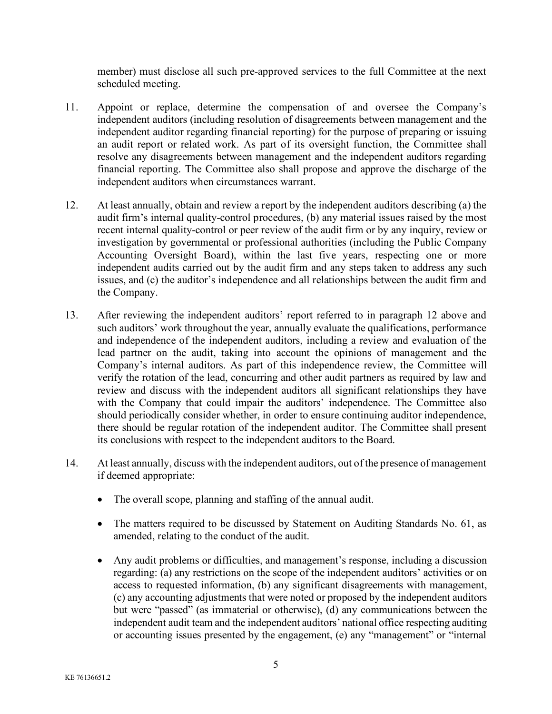member) must disclose all such pre-approved services to the full Committee at the next scheduled meeting.

- 11. Appoint or replace, determine the compensation of and oversee the Company's independent auditors (including resolution of disagreements between management and the independent auditor regarding financial reporting) for the purpose of preparing or issuing an audit report or related work. As part of its oversight function, the Committee shall resolve any disagreements between management and the independent auditors regarding financial reporting. The Committee also shall propose and approve the discharge of the independent auditors when circumstances warrant.
- 12. At least annually, obtain and review a report by the independent auditors describing (a) the audit firm's internal quality-control procedures, (b) any material issues raised by the most recent internal quality-control or peer review of the audit firm or by any inquiry, review or investigation by governmental or professional authorities (including the Public Company Accounting Oversight Board), within the last five years, respecting one or more independent audits carried out by the audit firm and any steps taken to address any such issues, and (c) the auditor's independence and all relationships between the audit firm and the Company.
- 13. After reviewing the independent auditors' report referred to in paragraph 12 above and such auditors' work throughout the year, annually evaluate the qualifications, performance and independence of the independent auditors, including a review and evaluation of the lead partner on the audit, taking into account the opinions of management and the Company's internal auditors. As part of this independence review, the Committee will verify the rotation of the lead, concurring and other audit partners as required by law and review and discuss with the independent auditors all significant relationships they have with the Company that could impair the auditors' independence. The Committee also should periodically consider whether, in order to ensure continuing auditor independence, there should be regular rotation of the independent auditor. The Committee shall present its conclusions with respect to the independent auditors to the Board.
- 14. At least annually, discuss with the independent auditors, out of the presence of management if deemed appropriate:
	- The overall scope, planning and staffing of the annual audit.
	- The matters required to be discussed by Statement on Auditing Standards No. 61, as amended, relating to the conduct of the audit.
	- Any audit problems or difficulties, and management's response, including a discussion regarding: (a) any restrictions on the scope of the independent auditors' activities or on access to requested information, (b) any significant disagreements with management, (c) any accounting adjustments that were noted or proposed by the independent auditors but were "passed" (as immaterial or otherwise), (d) any communications between the independent audit team and the independent auditors' national office respecting auditing or accounting issues presented by the engagement, (e) any "management" or "internal